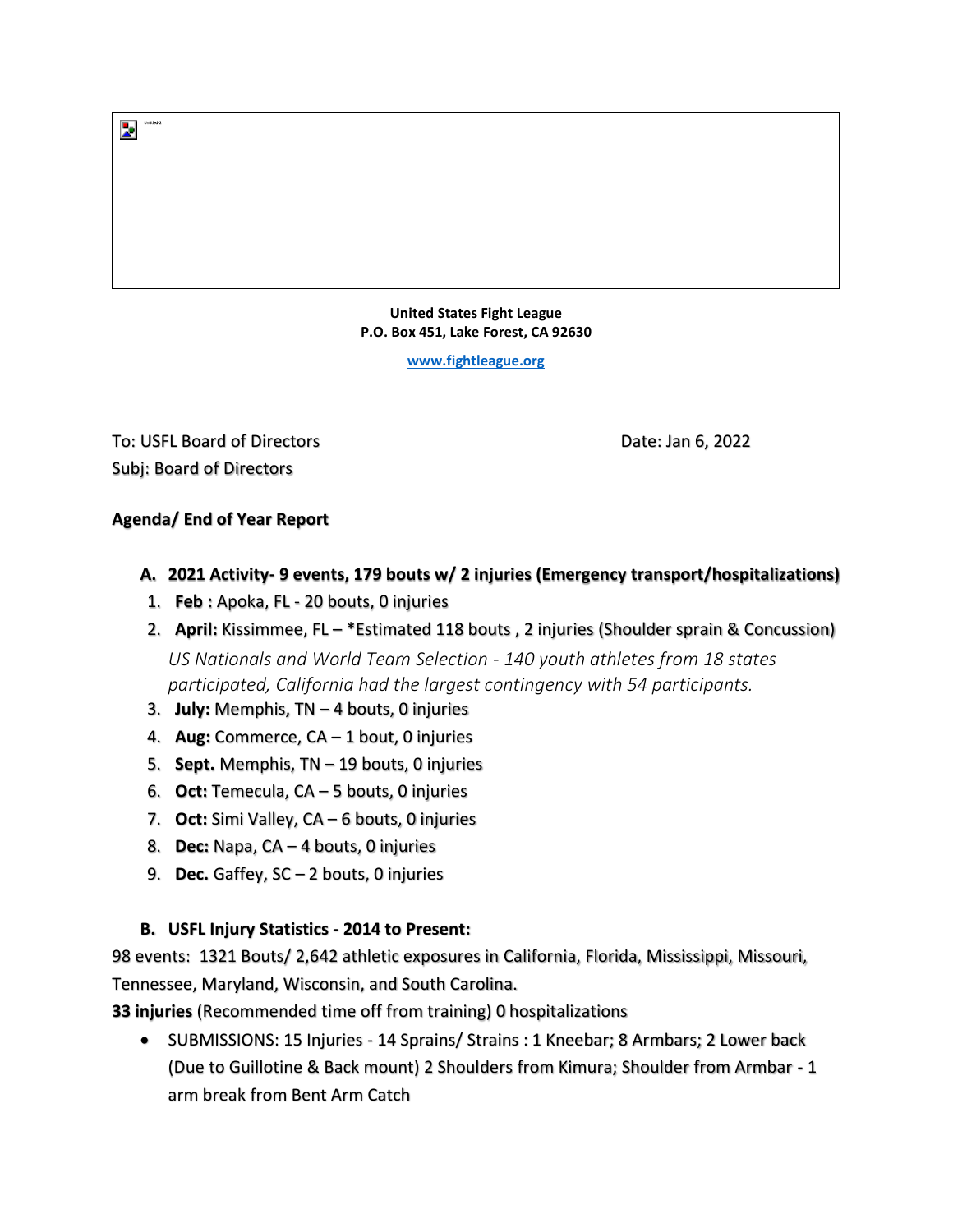**United States Fight League P.O. Box 451, Lake Forest, CA 92630** 

**[www.fightleague.org](http://www.fightleague.org/)**

To: USFL Board of Directors **Date: 1998** Date: Jan 6, 2022 Subj: Board of Directors

## **Agenda/ End of Year Report**

- **A. 2021 Activity- 9 events, 179 bouts w/ 2 injuries (Emergency transport/hospitalizations)**
- 1. **Feb :** Apoka, FL 20 bouts, 0 injuries
- 2. **April:** Kissimmee, FL \*Estimated 118 bouts , 2 injuries (Shoulder sprain & Concussion)

*US Nationals and World Team Selection - 140 youth athletes from 18 states participated, California had the largest contingency with 54 participants.*

- 3. **July:** Memphis, TN 4 bouts, 0 injuries
- 4. **Aug:** Commerce, CA 1 bout, 0 injuries
- 5. **Sept.** Memphis, TN 19 bouts, 0 injuries
- 6. **Oct:** Temecula, CA 5 bouts, 0 injuries
- 7. **Oct:** Simi Valley, CA 6 bouts, 0 injuries
- 8. **Dec:** Napa, CA 4 bouts, 0 injuries
- 9. **Dec.** Gaffey, SC 2 bouts, 0 injuries

## **B. USFL Injury Statistics - 2014 to Present:**

98 events: 1321 Bouts/ 2,642 athletic exposures in California, Florida, Mississippi, Missouri, Tennessee, Maryland, Wisconsin, and South Carolina.

**33 injuries** (Recommended time off from training) 0 hospitalizations

• SUBMISSIONS: 15 Injuries - 14 Sprains/ Strains : 1 Kneebar; 8 Armbars; 2 Lower back (Due to Guillotine & Back mount) 2 Shoulders from Kimura; Shoulder from Armbar - 1 arm break from Bent Arm Catch

 $\begin{array}{|c|c|}\hline \textbf{I} & \text{United-2}\\ \hline \textbf{I} & \text{0} & \text{0} \\ \hline \end{array}$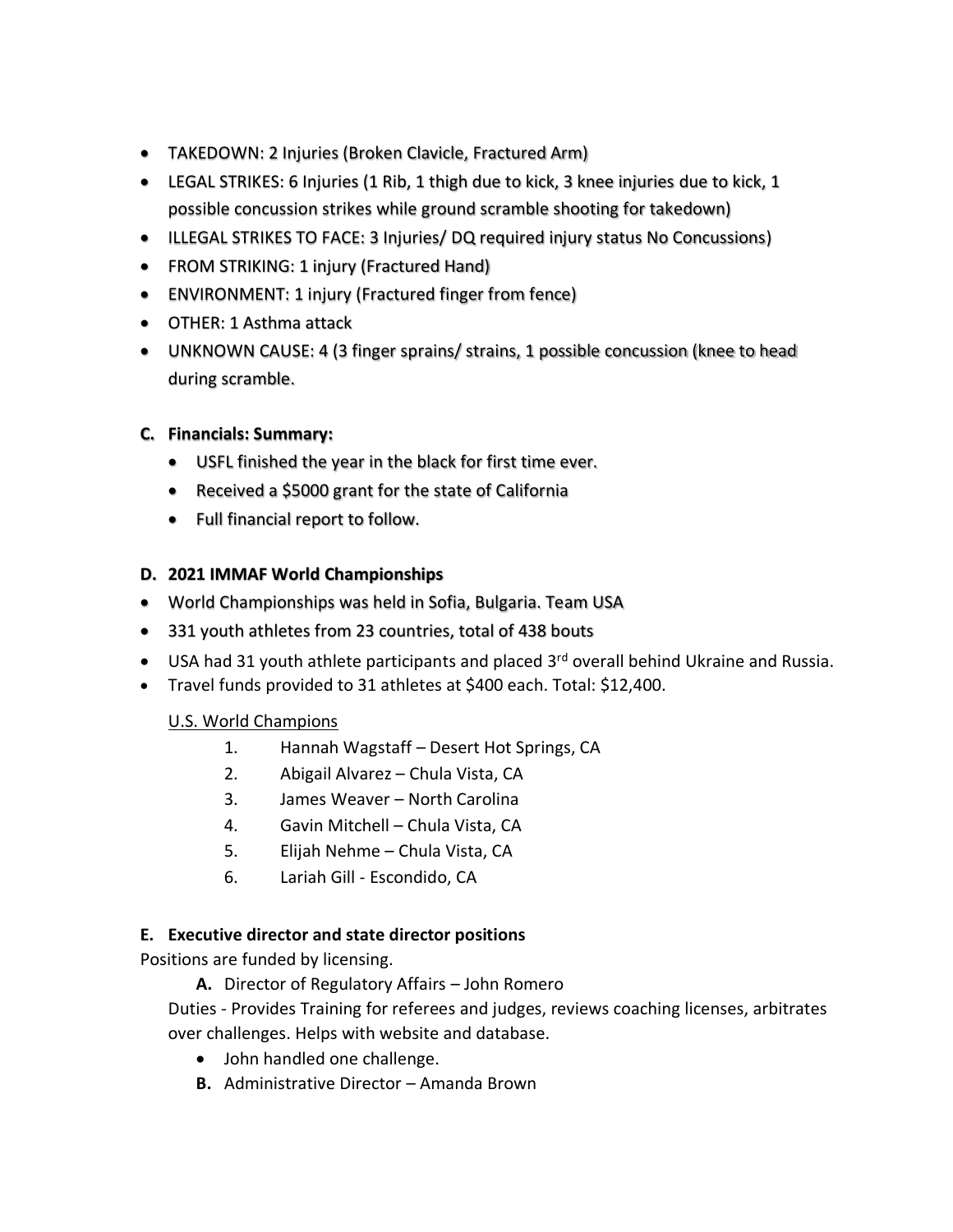- TAKEDOWN: 2 Injuries (Broken Clavicle, Fractured Arm)
- LEGAL STRIKES: 6 Injuries (1 Rib, 1 thigh due to kick, 3 knee injuries due to kick, 1 possible concussion strikes while ground scramble shooting for takedown)
- ILLEGAL STRIKES TO FACE: 3 Injuries/ DQ required injury status No Concussions)
- FROM STRIKING: 1 injury (Fractured Hand)
- ENVIRONMENT: 1 injury (Fractured finger from fence)
- OTHER: 1 Asthma attack
- UNKNOWN CAUSE: 4 (3 finger sprains/ strains, 1 possible concussion (knee to head during scramble.

#### **C. Financials: Summary:**

- USFL finished the year in the black for first time ever.
- Received a \$5000 grant for the state of California
- Full financial report to follow.

#### **D. 2021 IMMAF World Championships**

- World Championships was held in Sofia, Bulgaria. Team USA
- 331 youth athletes from 23 countries, total of 438 bouts
- USA had 31 youth athlete participants and placed 3<sup>rd</sup> overall behind Ukraine and Russia.
- Travel funds provided to 31 athletes at \$400 each. Total: \$12,400.

## U.S. World Champions

- 1. Hannah Wagstaff Desert Hot Springs, CA
- 2. Abigail Alvarez Chula Vista, CA
- 3. James Weaver North Carolina
- 4. Gavin Mitchell Chula Vista, CA
- 5. Elijah Nehme Chula Vista, CA
- 6. Lariah Gill Escondido, CA

#### **E. Executive director and state director positions**

Positions are funded by licensing.

**A.** Director of Regulatory Affairs – John Romero

Duties - Provides Training for referees and judges, reviews coaching licenses, arbitrates over challenges. Helps with website and database.

- John handled one challenge.
- **B.** Administrative Director Amanda Brown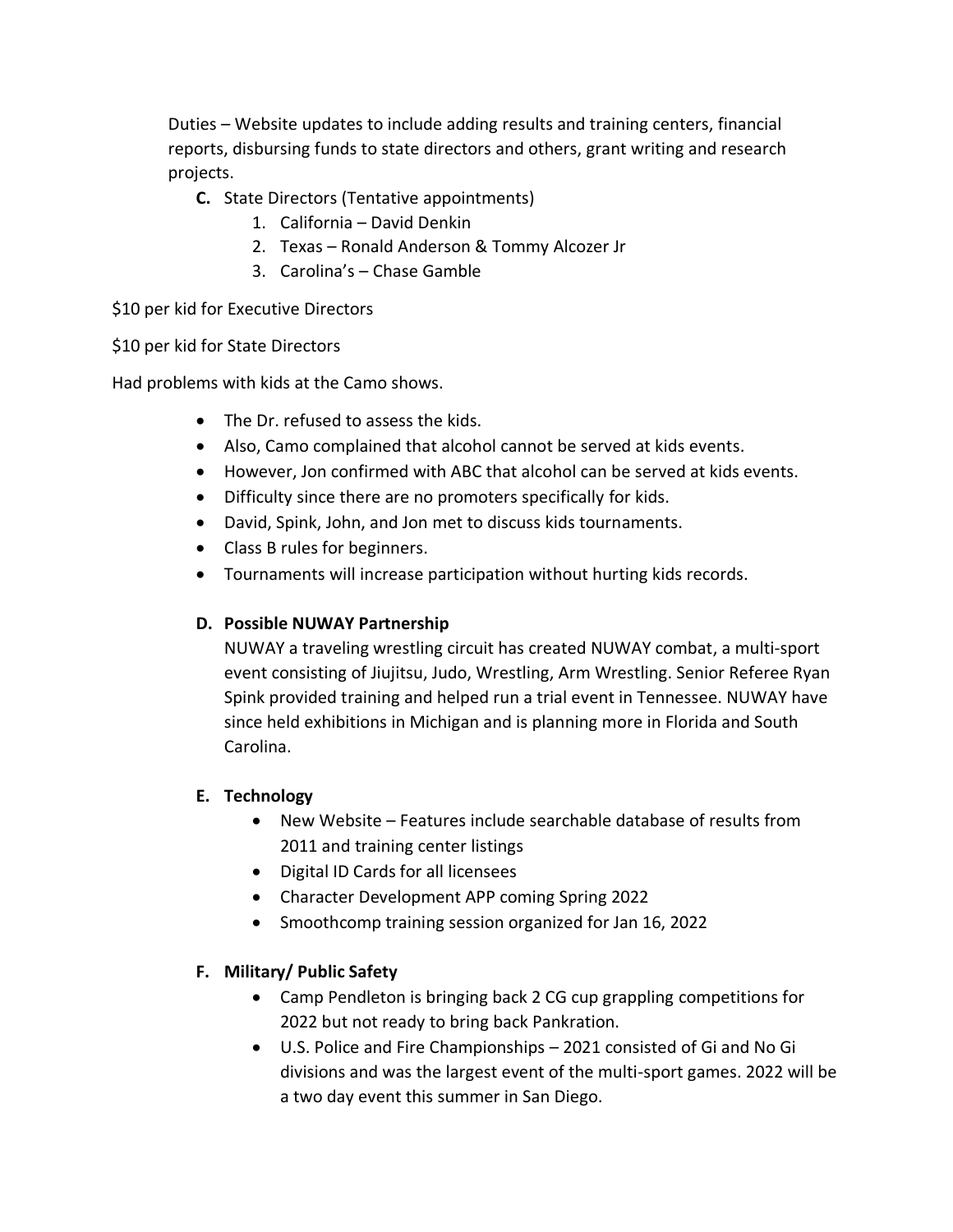Duties – Website updates to include adding results and training centers, financial reports, disbursing funds to state directors and others, grant writing and research projects.

- **C.** State Directors (Tentative appointments)
	- 1. California David Denkin
	- 2. Texas Ronald Anderson & Tommy Alcozer Jr
	- 3. Carolina's Chase Gamble

\$10 per kid for Executive Directors

## \$10 per kid for State Directors

Had problems with kids at the Camo shows.

- The Dr. refused to assess the kids.
- Also, Camo complained that alcohol cannot be served at kids events.
- However, Jon confirmed with ABC that alcohol can be served at kids events.
- Difficulty since there are no promoters specifically for kids.
- David, Spink, John, and Jon met to discuss kids tournaments.
- Class B rules for beginners.
- Tournaments will increase participation without hurting kids records.

## **D. Possible NUWAY Partnership**

NUWAY a traveling wrestling circuit has created NUWAY combat, a multi-sport event consisting of Jiujitsu, Judo, Wrestling, Arm Wrestling. Senior Referee Ryan Spink provided training and helped run a trial event in Tennessee. NUWAY have since held exhibitions in Michigan and is planning more in Florida and South Carolina.

## **E. Technology**

- New Website Features include searchable database of results from 2011 and training center listings
- Digital ID Cards for all licensees
- Character Development APP coming Spring 2022
- Smoothcomp training session organized for Jan 16, 2022

# **F. Military/ Public Safety**

- Camp Pendleton is bringing back 2 CG cup grappling competitions for 2022 but not ready to bring back Pankration.
- U.S. Police and Fire Championships 2021 consisted of Gi and No Gi divisions and was the largest event of the multi-sport games. 2022 will be a two day event this summer in San Diego.